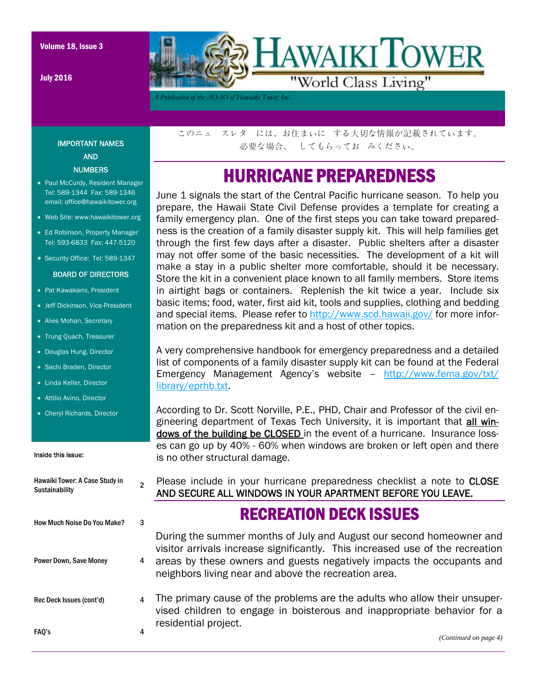July 2016



*A Publication of the AOAO of Hawaiki Tower, Inc..* 

IMPORTANT NAMES AND NUMBERS

- Paul McCurdy, Resident Manager Tel: 589-1344 Fax: 589-1346 email: office@hawaikitower.org
- Web Site: www.hawaikitower.org
- Ed Robinson, Property Manager Tel: 593-6833 Fax: 447-5120
- Security Office: Tel: 589-1347

#### BOARD OF DIRECTORS

- Pat Kawakami, President
- Jeff Dickinson, Vice-President
- Alies Mohan, Secretary
- Trung Quach, Treasurer
- Douglas Hung, Director
- Sachi Braden, Director
- Linda Keller, Director
- Attilio Avino, Director
- Cheryl Richards, Director

#### Inside this issue:

| Hawaiki Tower: A Case Study in<br><b>Sustainability</b> | 2 |
|---------------------------------------------------------|---|
| How Much Noise Do You Make?                             |   |
| <b>Power Down, Save Money</b>                           |   |
| Rec Deck Issues (cont'd)                                |   |
| FAU's                                                   |   |

このニュ スレタ には、お住まいに する大切な情報が記載されています。 必要な場合、 してもらってお みください。

## HURRICANE PREPAREDNESS

June 1 signals the start of the Central Pacific hurricane season. To help you prepare, the Hawaii State Civil Defense provides a template for creating a family emergency plan. One of the first steps you can take toward preparedness is the creation of a family disaster supply kit. This will help families get through the first few days after a disaster. Public shelters after a disaster may not offer some of the basic necessities. The development of a kit will make a stay in a public shelter more comfortable, should it be necessary. Store the kit in a convenient place known to all family members. Store items in airtight bags or containers. Replenish the kit twice a year. Include six basic items; food, water, first aid kit, tools and supplies, clothing and bedding and special items. Please refer to http://www.scd.hawaii.gov/ for more information on the preparedness kit and a host of other topics.

A very comprehensive handbook for emergency preparedness and a detailed list of components of a family disaster supply kit can be found at the Federal Emergency Management Agency's website – http://www.fema.gov/txt/ library/eprhb.txt.

According to Dr. Scott Norville, P.E., PHD, Chair and Professor of the civil engineering department of Texas Tech University, it is important that all windows of the building be CLOSED in the event of a hurricane. Insurance losses can go up by 40% - 60% when windows are broken or left open and there is no other structural damage.

Please include in your hurricane preparedness checklist a note to CLOSE AND SECURE ALL WINDOWS IN YOUR APARTMENT BEFORE YOU LEAVE.

### RECREATION DECK ISSUES

During the summer months of July and August our second homeowner and visitor arrivals increase significantly. This increased use of the recreation areas by these owners and guests negatively impacts the occupants and neighbors living near and above the recreation area.

The primary cause of the problems are the adults who allow their unsupervised children to engage in boisterous and inappropriate behavior for a residential project.

*(Continued on page 4)*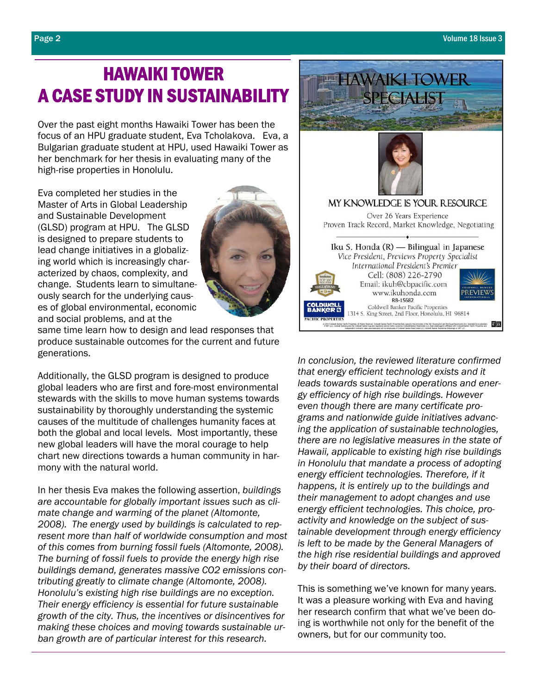# HAWAIKI TOWER A CASE STUDY IN SUSTAINABILITY

Over the past eight months Hawaiki Tower has been the focus of an HPU graduate student, Eva Tcholakova. Eva, a Bulgarian graduate student at HPU, used Hawaiki Tower as her benchmark for her thesis in evaluating many of the high-rise properties in Honolulu.

Eva completed her studies in the Master of Arts in Global Leadership and Sustainable Development (GLSD) program at HPU. The GLSD is designed to prepare students to lead change initiatives in a globalizing world which is increasingly characterized by chaos, complexity, and change. Students learn to simultaneously search for the underlying causes of global environmental, economic and social problems, and at the



same time learn how to design and lead responses that produce sustainable outcomes for the current and future generations.

Additionally, the GLSD program is designed to produce global leaders who are first and fore-most environmental stewards with the skills to move human systems towards sustainability by thoroughly understanding the systemic causes of the multitude of challenges humanity faces at both the global and local levels. Most importantly, these new global leaders will have the moral courage to help chart new directions towards a human community in harmony with the natural world.

In her thesis Eva makes the following assertion, *buildings are accountable for globally important issues such as climate change and warming of the planet (Altomonte, 2008). The energy used by buildings is calculated to represent more than half of worldwide consumption and most of this comes from burning fossil fuels (Altomonte, 2008). The burning of fossil fuels to provide the energy high rise buildings demand, generates massive CO2 emissions contributing greatly to climate change (Altomonte, 2008). Honolulu's existing high rise buildings are no exception. Their energy efficiency is essential for future sustainable growth of the city. Thus, the incentives or disincentives for making these choices and moving towards sustainable urban growth are of particular interest for this research.* 



*In conclusion, the reviewed literature confirmed that energy efficient technology exists and it leads towards sustainable operations and energy efficiency of high rise buildings. However even though there are many certificate programs and nationwide guide initiatives advancing the application of sustainable technologies, there are no legislative measures in the state of Hawaii, applicable to existing high rise buildings in Honolulu that mandate a process of adopting energy efficient technologies. Therefore, if it happens, it is entirely up to the buildings and their management to adopt changes and use energy efficient technologies. This choice, proactivity and knowledge on the subject of sustainable development through energy efficiency is left to be made by the General Managers of the high rise residential buildings and approved by their board of directors.* 

This is something we've known for many years. It was a pleasure working with Eva and having her research confirm that what we've been doing is worthwhile not only for the benefit of the owners, but for our community too.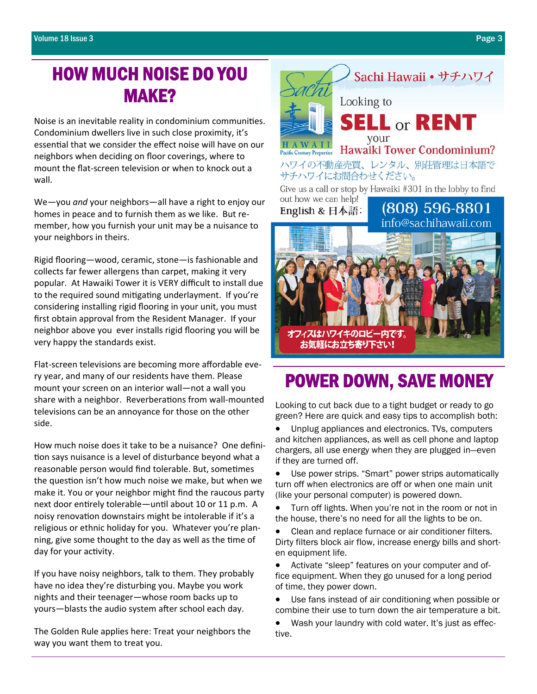## HOW MUCH NOISE DO YOU MAKE?

Noise is an inevitable reality in condominium communities. Condominium dwellers live in such close proximity, it's essential that we consider the effect noise will have on our neighbors when deciding on floor coverings, where to mount the flat‐screen television or when to knock out a wall.

We—you *and* your neighbors—all have a right to enjoy our homes in peace and to furnish them as we like. But re‐ member, how you furnish your unit may be a nuisance to your neighbors in theirs.

Rigid flooring—wood, ceramic, stone—is fashionable and collects far fewer allergens than carpet, making it very popular. At Hawaiki Tower it is VERY difficult to install due to the required sound mitigating underlayment. If you're considering installing rigid flooring in your unit, you must first obtain approval from the Resident Manager. If your neighbor above you ever installs rigid flooring you will be very happy the standards exist.

Flat-screen televisions are becoming more affordable every year, and many of our residents have them. Please mount your screen on an interior wall—not a wall you share with a neighbor. Reverberations from wall-mounted televisions can be an annoyance for those on the other side.

How much noise does it take to be a nuisance? One defini‐ tion says nuisance is a level of disturbance beyond what a reasonable person would find tolerable. But, sometimes the question isn't how much noise we make, but when we make it. You or your neighbor might find the raucous party next door entirely tolerable—until about 10 or 11 p.m. A noisy renovation downstairs might be intolerable if it's a religious or ethnic holiday for you. Whatever you're plan‐ ning, give some thought to the day as well as the time of day for your activity.

If you have noisy neighbors, talk to them. They probably have no idea they're disturbing you. Maybe you work nights and their teenager—whose room backs up to yours-blasts the audio system after school each day.

The Golden Rule applies here: Treat your neighbors the way you want them to treat you.



# POWER DOWN, SAVE MONEY

Looking to cut back due to a tight budget or ready to go green? Here are quick and easy tips to accomplish both:

• Unplug appliances and electronics. TVs, computers and kitchen appliances, as well as cell phone and laptop chargers, all use energy when they are plugged in—even if they are turned off.

Use power strips. "Smart" power strips automatically turn off when electronics are off or when one main unit (like your personal computer) is powered down.

Turn off lights. When you're not in the room or not in the house, there's no need for all the lights to be on.

• Clean and replace furnace or air conditioner filters. Dirty filters block air flow, increase energy bills and shorten equipment life.

• Activate "sleep" features on your computer and office equipment. When they go unused for a long period of time, they power down.

• Use fans instead of air conditioning when possible or combine their use to turn down the air temperature a bit.

Wash your laundry with cold water. It's just as effective.